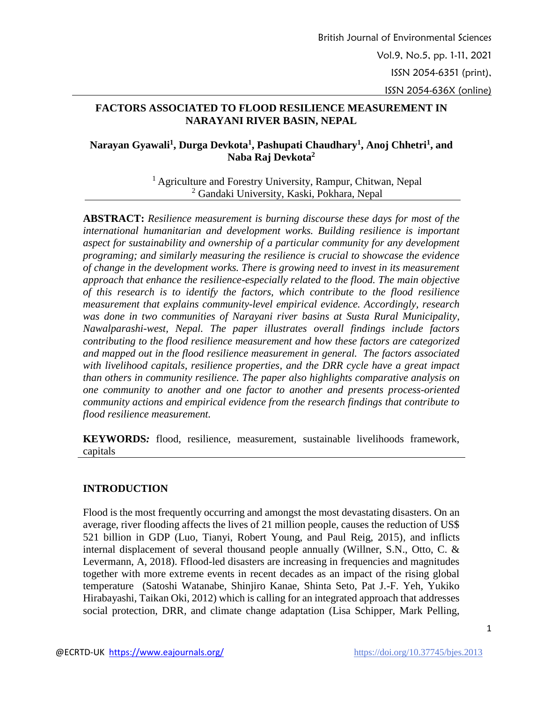# **FACTORS ASSOCIATED TO FLOOD RESILIENCE MEASUREMENT IN NARAYANI RIVER BASIN, NEPAL**

# **Narayan Gyawali<sup>1</sup> , Durga Devkota<sup>1</sup> , Pashupati Chaudhary<sup>1</sup> , Anoj Chhetri<sup>1</sup> , and Naba Raj Devkota<sup>2</sup>**

<sup>1</sup> Agriculture and Forestry University, Rampur, Chitwan, Nepal <sup>2</sup> Gandaki University, Kaski, Pokhara, Nepal

**ABSTRACT:** *Resilience measurement is burning discourse these days for most of the international humanitarian and development works. Building resilience is important aspect for sustainability and ownership of a particular community for any development programing; and similarly measuring the resilience is crucial to showcase the evidence of change in the development works. There is growing need to invest in its measurement approach that enhance the resilience-especially related to the flood. The main objective of this research is to identify the factors, which contribute to the flood resilience measurement that explains community-level empirical evidence. Accordingly, research was done in two communities of Narayani river basins at Susta Rural Municipality, Nawalparashi-west, Nepal. The paper illustrates overall findings include factors contributing to the flood resilience measurement and how these factors are categorized and mapped out in the flood resilience measurement in general. The factors associated with livelihood capitals, resilience properties, and the DRR cycle have a great impact than others in community resilience. The paper also highlights comparative analysis on one community to another and one factor to another and presents process-oriented community actions and empirical evidence from the research findings that contribute to flood resilience measurement.* 

**KEYWORDS***:* flood, resilience, measurement, sustainable livelihoods framework, capitals

# **INTRODUCTION**

Flood is the most frequently occurring and amongst the most devastating disasters. On an average, river flooding affects the lives of 21 million people, causes the reduction of US\$ 521 billion in GDP (Luo, Tianyi, Robert Young, and Paul Reig, 2015), and inflicts internal displacement of several thousand people annually (Willner, S.N., Otto, C. & Levermann, A, 2018). Fflood-led disasters are increasing in frequencies and magnitudes together with more extreme events in recent decades as an impact of the rising global temperature (Satoshi Watanabe, Shinjiro Kanae, Shinta Seto, Pat J.-F. Yeh, Yukiko Hirabayashi, Taikan Oki, 2012) which is calling for an integrated approach that addresses social protection, DRR, and climate change adaptation (Lisa Schipper, Mark Pelling,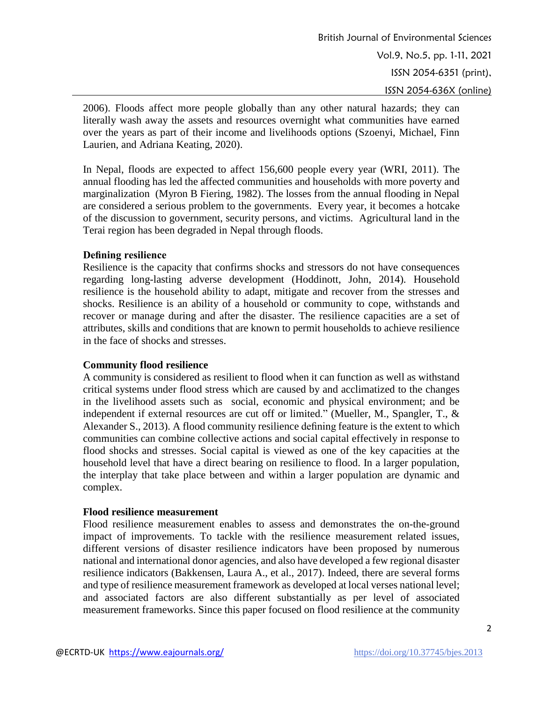2006). Floods affect more people globally than any other natural hazards; they can literally wash away the assets and resources overnight what communities have earned over the years as part of their income and livelihoods options (Szoenyi, Michael, Finn Laurien, and Adriana Keating, 2020).

In Nepal, floods are expected to affect 156,600 people every year (WRI, 2011). The annual flooding has led the affected communities and households with more poverty and marginalization (Myron B Fiering, 1982). The losses from the annual flooding in Nepal are considered a serious problem to the governments. Every year, it becomes a hotcake of the discussion to government, security persons, and victims. Agricultural land in the Terai region has been degraded in Nepal through floods.

#### **Defining resilience**

Resilience is the capacity that confirms shocks and stressors do not have consequences regarding long-lasting adverse development (Hoddinott, John, 2014). Household resilience is the household ability to adapt, mitigate and recover from the stresses and shocks. Resilience is an ability of a household or community to cope, withstands and recover or manage during and after the disaster. The resilience capacities are a set of attributes, skills and conditions that are known to permit households to achieve resilience in the face of shocks and stresses.

#### **Community flood resilience**

A community is considered as resilient to flood when it can function as well as withstand critical systems under flood stress which are caused by and acclimatized to the changes in the livelihood assets such as social, economic and physical environment; and be independent if external resources are cut off or limited." (Mueller, M., Spangler, T., & Alexander S., 2013). A flood community resilience defining feature is the extent to which communities can combine collective actions and social capital effectively in response to flood shocks and stresses. Social capital is viewed as one of the key capacities at the household level that have a direct bearing on resilience to flood. In a larger population, the interplay that take place between and within a larger population are dynamic and complex.

#### **Flood resilience measurement**

Flood resilience measurement enables to assess and demonstrates the on-the-ground impact of improvements. To tackle with the resilience measurement related issues, different versions of disaster resilience indicators have been proposed by numerous national and international donor agencies, and also have developed a few regional disaster resilience indicators (Bakkensen, Laura A., et al., 2017). Indeed, there are several forms and type of resilience measurement framework as developed at local verses national level; and associated factors are also different substantially as per level of associated measurement frameworks. Since this paper focused on flood resilience at the community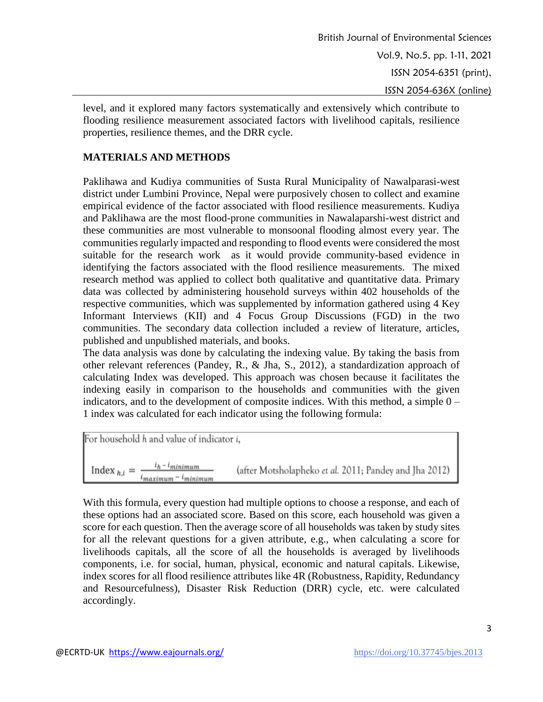level, and it explored many factors systematically and extensively which contribute to flooding resilience measurement associated factors with livelihood capitals, resilience properties, resilience themes, and the DRR cycle.

# **MATERIALS AND METHODS**

Paklihawa and Kudiya communities of Susta Rural Municipality of Nawalparasi-west district under Lumbini Province, Nepal were purposively chosen to collect and examine empirical evidence of the factor associated with flood resilience measurements. Kudiya and Paklihawa are the most flood-prone communities in Nawalaparshi-west district and these communities are most vulnerable to monsoonal flooding almost every year. The communities regularly impacted and responding to flood events were considered the most suitable for the research work as it would provide community-based evidence in identifying the factors associated with the flood resilience measurements. The mixed research method was applied to collect both qualitative and quantitative data. Primary data was collected by administering household surveys within 402 households of the respective communities, which was supplemented by information gathered using 4 Key Informant Interviews (KII) and 4 Focus Group Discussions (FGD) in the two communities. The secondary data collection included a review of literature, articles, published and unpublished materials, and books.

The data analysis was done by calculating the indexing value. By taking the basis from other relevant references (Pandey, R., & Jha, S., 2012), a standardization approach of calculating Index was developed. This approach was chosen because it facilitates the indexing easily in comparison to the households and communities with the given indicators, and to the development of composite indices. With this method, a simple  $0 -$ 1 index was calculated for each indicator using the following formula:

For household *h* and value of indicator *i*,  
Index 
$$
_{h,i} = \frac{i_h - i_{minimum}}{i_{maximum} - i_{minimum}}
$$
 (after Motsholapheko *et al.* 2011; Pandey and Jha 2012)

With this formula, every question had multiple options to choose a response, and each of these options had an associated score. Based on this score, each household was given a score for each question. Then the average score of all households was taken by study sites for all the relevant questions for a given attribute, e.g., when calculating a score for livelihoods capitals, all the score of all the households is averaged by livelihoods components, i.e. for social, human, physical, economic and natural capitals. Likewise, index scores for all flood resilience attributes like 4R (Robustness, Rapidity, Redundancy and Resourcefulness), Disaster Risk Reduction (DRR) cycle, etc. were calculated accordingly.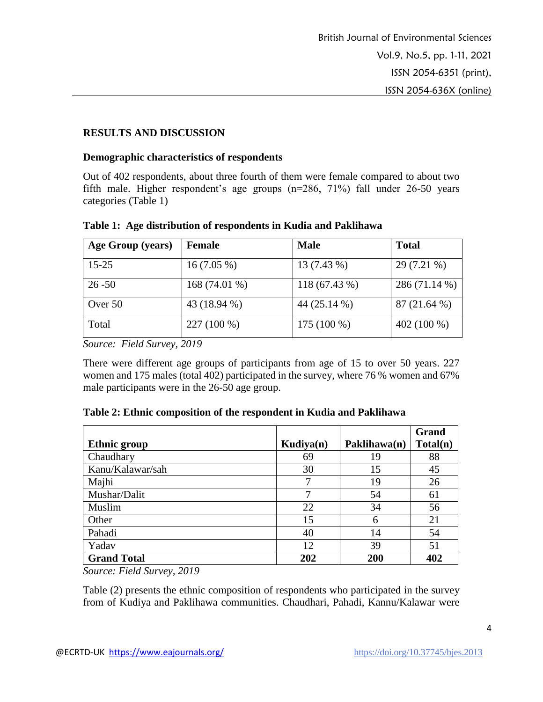# **RESULTS AND DISCUSSION**

#### **Demographic characteristics of respondents**

Out of 402 respondents, about three fourth of them were female compared to about two fifth male. Higher respondent's age groups (n=286, 71%) fall under 26-50 years categories (Table 1)

| Age Group (years) | Female         | <b>Male</b>   | <b>Total</b>  |
|-------------------|----------------|---------------|---------------|
| $15 - 25$         | $16(7.05\%)$   | 13 (7.43 %)   | 29 (7.21 %)   |
| $26 - 50$         | $168(74.01\%)$ | 118 (67.43 %) | 286 (71.14 %) |
| Over 50           | 43 (18.94 %)   | 44 (25.14 %)  | 87(21.64%)    |
| Total             | 227 (100 %)    | 175 (100 %)   | 402 (100 %)   |

**Table 1: Age distribution of respondents in Kudia and Paklihawa**

*Source: Field Survey, 2019*

There were different age groups of participants from age of 15 to over 50 years. 227 women and 175 males (total 402) participated in the survey, where 76 % women and 67% male participants were in the 26-50 age group.

#### **Table 2: Ethnic composition of the respondent in Kudia and Paklihawa**

|                     |           |              | <b>Grand</b> |
|---------------------|-----------|--------------|--------------|
| <b>Ethnic group</b> | Kudiya(n) | Paklihawa(n) | Total(n)     |
| Chaudhary           | 69        | 19           | 88           |
| Kanu/Kalawar/sah    | 30        | 15           | 45           |
| Majhi               |           | 19           | 26           |
| Mushar/Dalit        | 7         | 54           | 61           |
| Muslim              | 22        | 34           | 56           |
| Other               | 15        | 6            | 21           |
| Pahadi              | 40        | 14           | 54           |
| Yadav               | 12        | 39           | 51           |
| <b>Grand Total</b>  | 202       | 200          | 402          |

*Source: Field Survey, 2019*

Table (2) presents the ethnic composition of respondents who participated in the survey from of Kudiya and Paklihawa communities. Chaudhari, Pahadi, Kannu/Kalawar were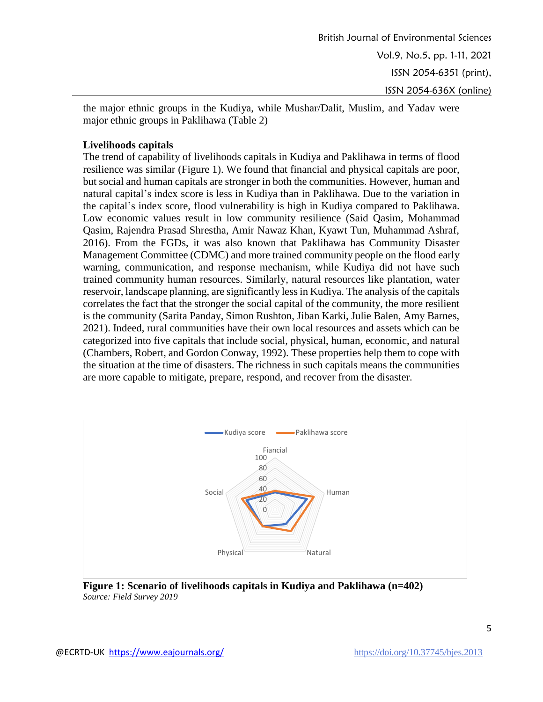the major ethnic groups in the Kudiya, while Mushar/Dalit, Muslim, and Yadav were major ethnic groups in Paklihawa (Table 2)

# **Livelihoods capitals**

The trend of capability of livelihoods capitals in Kudiya and Paklihawa in terms of flood resilience was similar (Figure 1). We found that financial and physical capitals are poor, but social and human capitals are stronger in both the communities. However, human and natural capital's index score is less in Kudiya than in Paklihawa. Due to the variation in the capital's index score, flood vulnerability is high in Kudiya compared to Paklihawa. Low economic values result in low community resilience (Said Qasim, Mohammad Qasim, Rajendra Prasad Shrestha, Amir Nawaz Khan, Kyawt Tun, Muhammad Ashraf, 2016). From the FGDs, it was also known that Paklihawa has Community Disaster Management Committee (CDMC) and more trained community people on the flood early warning, communication, and response mechanism, while Kudiya did not have such trained community human resources. Similarly, natural resources like plantation, water reservoir, landscape planning, are significantly less in Kudiya. The analysis of the capitals correlates the fact that the stronger the social capital of the community, the more resilient is the community (Sarita Panday, Simon Rushton, Jiban Karki, Julie Balen, Amy Barnes, 2021). Indeed, rural communities have their own local resources and assets which can be categorized into five capitals that include social, physical, human, economic, and natural (Chambers, Robert, and Gordon Conway, 1992). These properties help them to cope with the situation at the time of disasters. The richness in such capitals means the communities are more capable to mitigate, prepare, respond, and recover from the disaster.



**Figure 1: Scenario of livelihoods capitals in Kudiya and Paklihawa (n=402)** *Source: Field Survey 2019*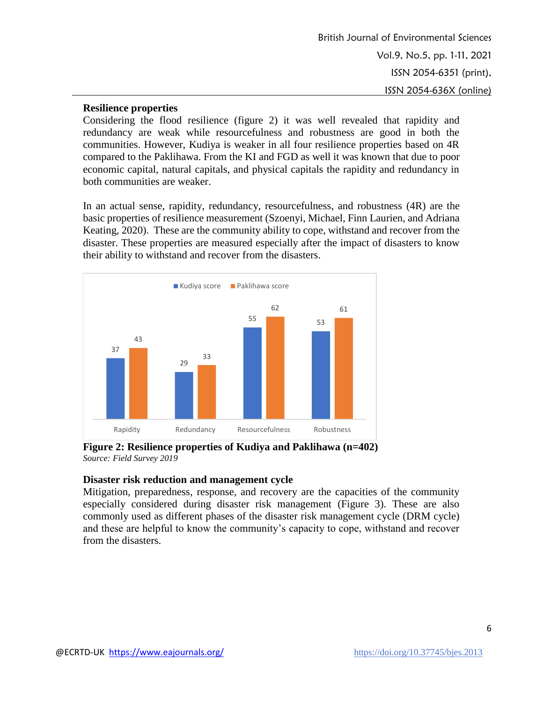# **Resilience properties**

Considering the flood resilience (figure 2) it was well revealed that rapidity and redundancy are weak while resourcefulness and robustness are good in both the communities. However, Kudiya is weaker in all four resilience properties based on 4R compared to the Paklihawa. From the KI and FGD as well it was known that due to poor economic capital, natural capitals, and physical capitals the rapidity and redundancy in both communities are weaker.

In an actual sense, rapidity, redundancy, resourcefulness, and robustness (4R) are the basic properties of resilience measurement (Szoenyi, Michael, Finn Laurien, and Adriana Keating, 2020). These are the community ability to cope, withstand and recover from the disaster. These properties are measured especially after the impact of disasters to know their ability to withstand and recover from the disasters.



**Figure 2: Resilience properties of Kudiya and Paklihawa (n=402)** *Source: Field Survey 2019*

#### **Disaster risk reduction and management cycle**

Mitigation, preparedness, response, and recovery are the capacities of the community especially considered during disaster risk management (Figure 3). These are also commonly used as different phases of the disaster risk management cycle (DRM cycle) and these are helpful to know the community's capacity to cope, withstand and recover from the disasters.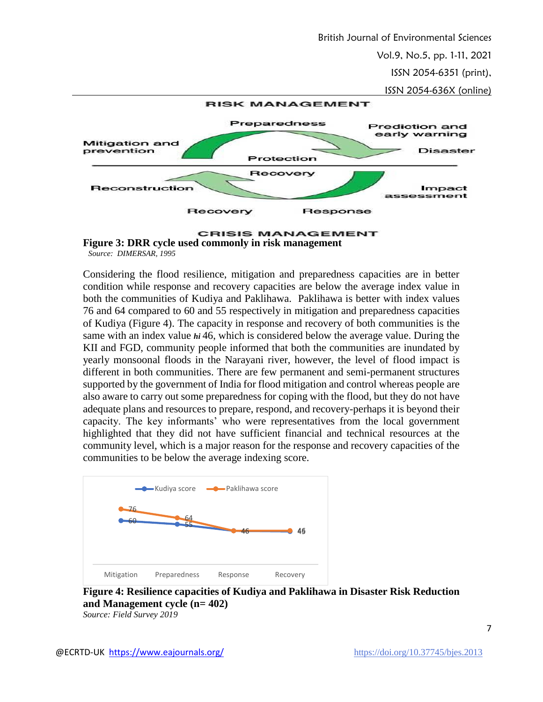British Journal of Environmental Sciences

Vol.9, No.5, pp. 1-11, 2021

ISSN 2054-6351 (print),

ISSN 2054-636X (online)





Considering the flood resilience, mitigation and preparedness capacities are in better condition while response and recovery capacities are below the average index value in both the communities of Kudiya and Paklihawa. Paklihawa is better with index values 76 and 64 compared to 60 and 55 respectively in mitigation and preparedness capacities of Kudiya (Figure 4). The capacity in response and recovery of both communities is the same with an index value *hi* 46, which is considered below the average value. During the KII and FGD, community people informed that both the communities are inundated by yearly monsoonal floods in the Narayani river, however, the level of flood impact is different in both communities. There are few permanent and semi-permanent structures supported by the government of India for flood mitigation and control whereas people are also aware to carry out some preparedness for coping with the flood, but they do not have adequate plans and resources to prepare, respond, and recovery-perhaps it is beyond their capacity. The key informants' who were representatives from the local government highlighted that they did not have sufficient financial and technical resources at the community level, which is a major reason for the response and recovery capacities of the communities to be below the average indexing score.



**Figure 4: Resilience capacities of Kudiya and Paklihawa in Disaster Risk Reduction and Management cycle (n= 402)**  *Source: Field Survey 2019*

7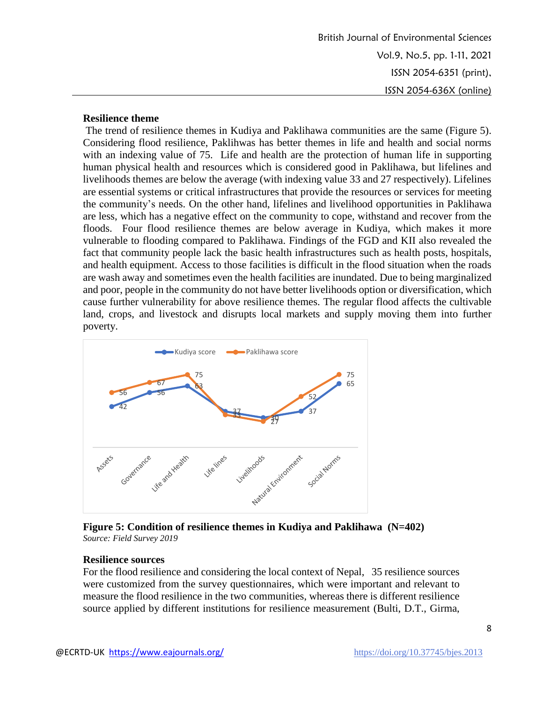British Journal of Environmental Sciences Vol.9, No.5, pp. 1-11, 2021 ISSN 2054-6351 (print), ISSN 2054-636X (online)

#### **Resilience theme**

The trend of resilience themes in Kudiya and Paklihawa communities are the same (Figure 5). Considering flood resilience, Paklihwas has better themes in life and health and social norms with an indexing value of 75. Life and health are the protection of human life in supporting human physical health and resources which is considered good in Paklihawa, but lifelines and livelihoods themes are below the average (with indexing value 33 and 27 respectively). Lifelines are essential systems or critical infrastructures that provide the resources or services for meeting the community's needs. On the other hand, lifelines and livelihood opportunities in Paklihawa are less, which has a negative effect on the community to cope, withstand and recover from the floods. Four flood resilience themes are below average in Kudiya, which makes it more vulnerable to flooding compared to Paklihawa. Findings of the FGD and KII also revealed the fact that community people lack the basic health infrastructures such as health posts, hospitals, and health equipment. Access to those facilities is difficult in the flood situation when the roads are wash away and sometimes even the health facilities are inundated. Due to being marginalized and poor, people in the community do not have better livelihoods option or diversification, which cause further vulnerability for above resilience themes. The regular flood affects the cultivable land, crops, and livestock and disrupts local markets and supply moving them into further poverty.



**Figure 5: Condition of resilience themes in Kudiya and Paklihawa (N=402)** *Source: Field Survey 2019*

#### **Resilience sources**

For the flood resilience and considering the local context of Nepal, 35 resilience sources were customized from the survey questionnaires, which were important and relevant to measure the flood resilience in the two communities, whereas there is different resilience source applied by different institutions for resilience measurement (Bulti, D.T., Girma,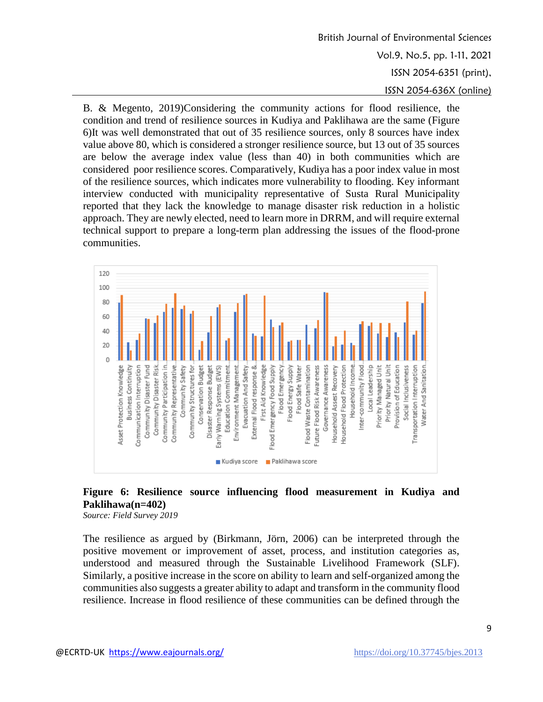# British Journal of Environmental Sciences Vol.9, No.5, pp. 1-11, 2021 ISSN 2054-6351 (print), ISSN 2054-636X (online)

B. & Megento, 2019)Considering the community actions for flood resilience, the condition and trend of resilience sources in Kudiya and Paklihawa are the same (Figure 6)It was well demonstrated that out of 35 resilience sources, only 8 sources have index value above 80, which is considered a stronger resilience source, but 13 out of 35 sources are below the average index value (less than 40) in both communities which are considered poor resilience scores. Comparatively, Kudiya has a poor index value in most of the resilience sources, which indicates more vulnerability to flooding. Key informant interview conducted with municipality representative of Susta Rural Municipality reported that they lack the knowledge to manage disaster risk reduction in a holistic approach. They are newly elected, need to learn more in DRRM, and will require external technical support to prepare a long-term plan addressing the issues of the flood-prone communities.



# **Figure 6: Resilience source influencing flood measurement in Kudiya and Paklihawa(n=402)**

*Source: Field Survey 2019*

The resilience as argued by (Birkmann, Jörn, 2006) can be interpreted through the positive movement or improvement of asset, process, and institution categories as, understood and measured through the Sustainable Livelihood Framework (SLF). Similarly, a positive increase in the score on ability to learn and self-organized among the communities also suggests a greater ability to adapt and transform in the community flood resilience. Increase in flood resilience of these communities can be defined through the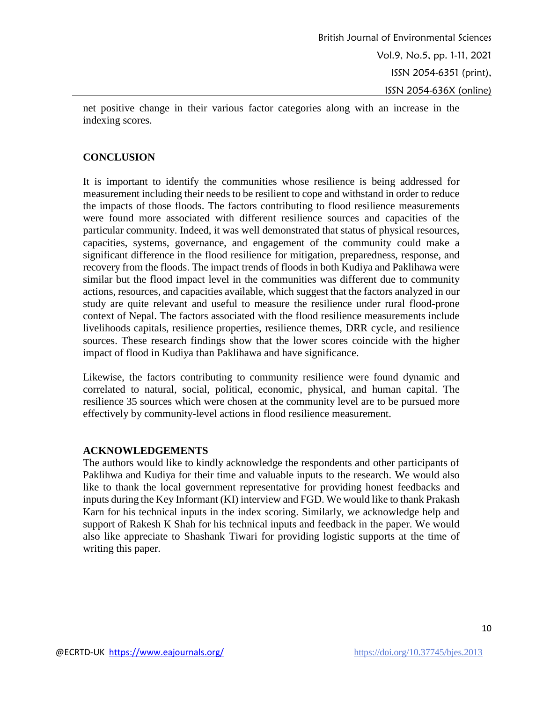net positive change in their various factor categories along with an increase in the indexing scores.

### **CONCLUSION**

It is important to identify the communities whose resilience is being addressed for measurement including their needs to be resilient to cope and withstand in order to reduce the impacts of those floods. The factors contributing to flood resilience measurements were found more associated with different resilience sources and capacities of the particular community. Indeed, it was well demonstrated that status of physical resources, capacities, systems, governance, and engagement of the community could make a significant difference in the flood resilience for mitigation, preparedness, response, and recovery from the floods. The impact trends of floods in both Kudiya and Paklihawa were similar but the flood impact level in the communities was different due to community actions, resources, and capacities available, which suggest that the factors analyzed in our study are quite relevant and useful to measure the resilience under rural flood-prone context of Nepal. The factors associated with the flood resilience measurements include livelihoods capitals, resilience properties, resilience themes, DRR cycle, and resilience sources. These research findings show that the lower scores coincide with the higher impact of flood in Kudiya than Paklihawa and have significance.

Likewise, the factors contributing to community resilience were found dynamic and correlated to natural, social, political, economic, physical, and human capital. The resilience 35 sources which were chosen at the community level are to be pursued more effectively by community-level actions in flood resilience measurement.

# **ACKNOWLEDGEMENTS**

The authors would like to kindly acknowledge the respondents and other participants of Paklihwa and Kudiya for their time and valuable inputs to the research. We would also like to thank the local government representative for providing honest feedbacks and inputs during the Key Informant (KI) interview and FGD. We would like to thank Prakash Karn for his technical inputs in the index scoring. Similarly, we acknowledge help and support of Rakesh K Shah for his technical inputs and feedback in the paper. We would also like appreciate to Shashank Tiwari for providing logistic supports at the time of writing this paper.